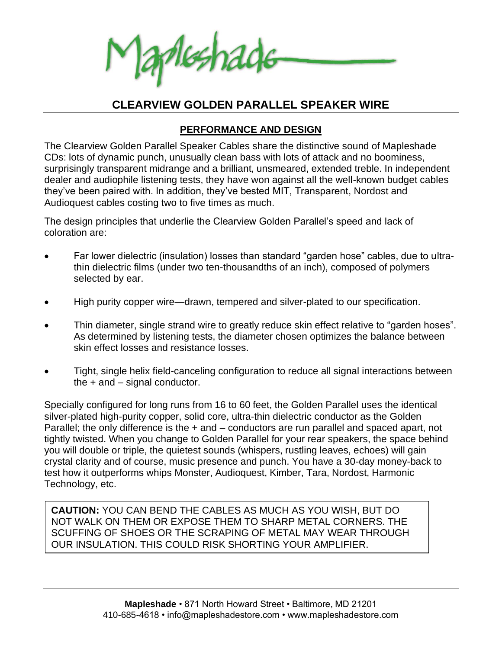Aleshade

# **CLEARVIEW GOLDEN PARALLEL SPEAKER WIRE**

### **PERFORMANCE AND DESIGN**

The Clearview Golden Parallel Speaker Cables share the distinctive sound of Mapleshade CDs: lots of dynamic punch, unusually clean bass with lots of attack and no boominess, surprisingly transparent midrange and a brilliant, unsmeared, extended treble. In independent dealer and audiophile listening tests, they have won against all the well-known budget cables they've been paired with. In addition, they've bested MIT, Transparent, Nordost and Audioquest cables costing two to five times as much.

The design principles that underlie the Clearview Golden Parallel's speed and lack of coloration are:

- Far lower dielectric (insulation) losses than standard "garden hose" cables, due to ultrathin dielectric films (under two ten-thousandths of an inch), composed of polymers selected by ear.
- High purity copper wire—drawn, tempered and silver-plated to our specification.
- Thin diameter, single strand wire to greatly reduce skin effect relative to "garden hoses". As determined by listening tests, the diameter chosen optimizes the balance between skin effect losses and resistance losses.
- Tight, single helix field-canceling configuration to reduce all signal interactions between the + and – signal conductor.

Specially configured for long runs from 16 to 60 feet, the Golden Parallel uses the identical silver-plated high-purity copper, solid core, ultra-thin dielectric conductor as the Golden Parallel; the only difference is the  $+$  and – conductors are run parallel and spaced apart, not tightly twisted. When you change to Golden Parallel for your rear speakers, the space behind you will double or triple, the quietest sounds (whispers, rustling leaves, echoes) will gain crystal clarity and of course, music presence and punch. You have a 30-day money-back to test how it outperforms whips Monster, Audioquest, Kimber, Tara, Nordost, Harmonic Technology, etc.

**CAUTION:** YOU CAN BEND THE CABLES AS MUCH AS YOU WISH, BUT DO NOT WALK ON THEM OR EXPOSE THEM TO SHARP METAL CORNERS. THE SCUFFING OF SHOES OR THE SCRAPING OF METAL MAY WEAR THROUGH OUR INSULATION. THIS COULD RISK SHORTING YOUR AMPLIFIER.